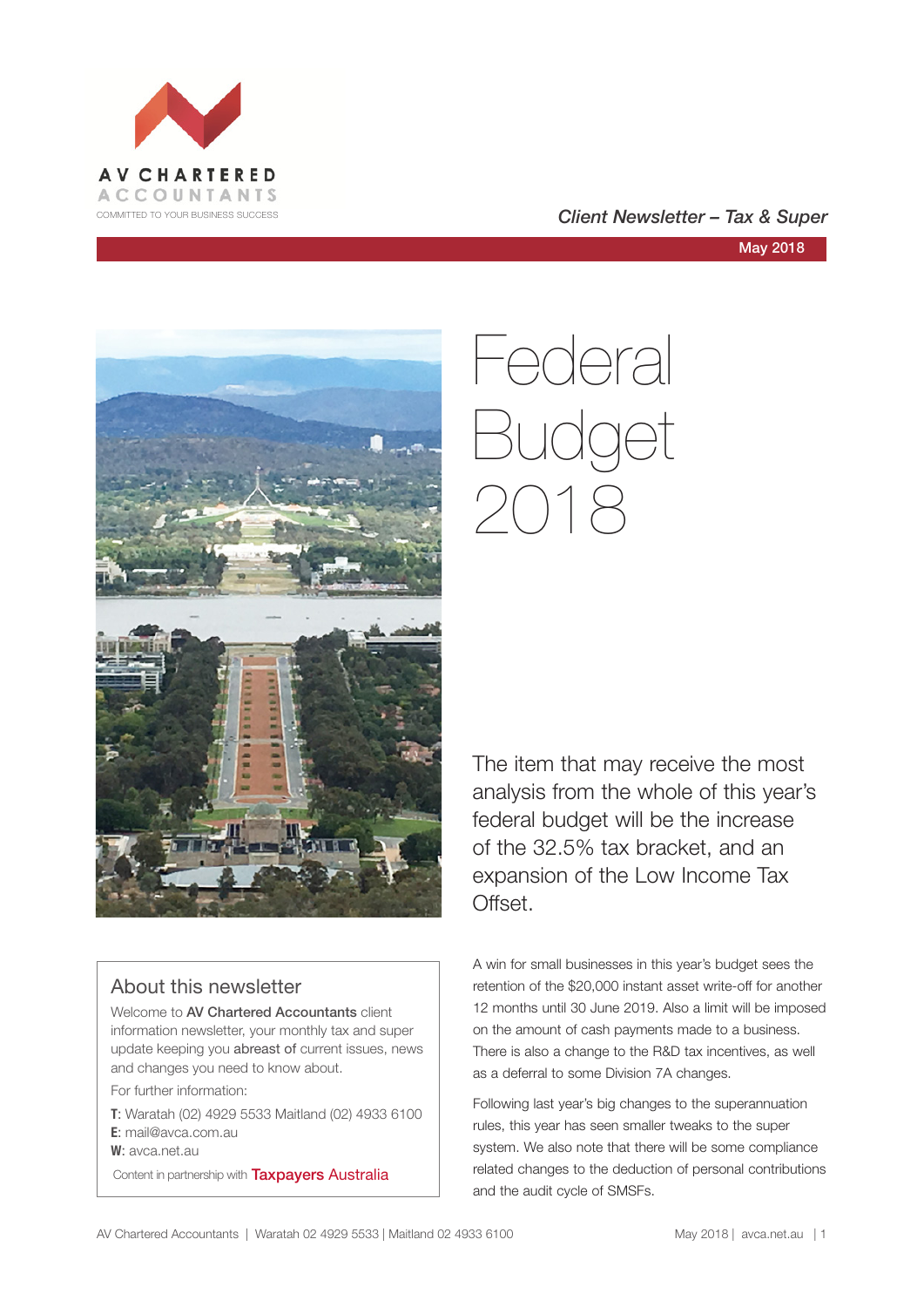

# COMMITTED TO YOUR BUSINESS SUCCESS **COMMITTED TO YOUR BUSINESS SUCCESS**

May 2018



# Federal Budget 2018

The item that may receive the most analysis from the whole of this year's federal budget will be the increase of the 32.5% tax bracket, and an expansion of the Low Income Tax Offset.

# About this newsletter

Welcome to AV Chartered Accountants client information newsletter, your monthly tax and super update keeping you abreast of current issues, news and changes you need to know about.

For further information:

**T**: Waratah (02) 4929 5533 Maitland (02) 4933 6100 **E**: mail@avca.com.au

**W**: avca.net.au

Content in partnership with **Taxpayers Australia** 

A win for small businesses in this year's budget sees the retention of the \$20,000 instant asset write-off for another 12 months until 30 June 2019. Also a limit will be imposed on the amount of cash payments made to a business. There is also a change to the R&D tax incentives, as well as a deferral to some Division 7A changes.

Following last year's big changes to the superannuation rules, this year has seen smaller tweaks to the super system. We also note that there will be some compliance related changes to the deduction of personal contributions and the audit cycle of SMSFs.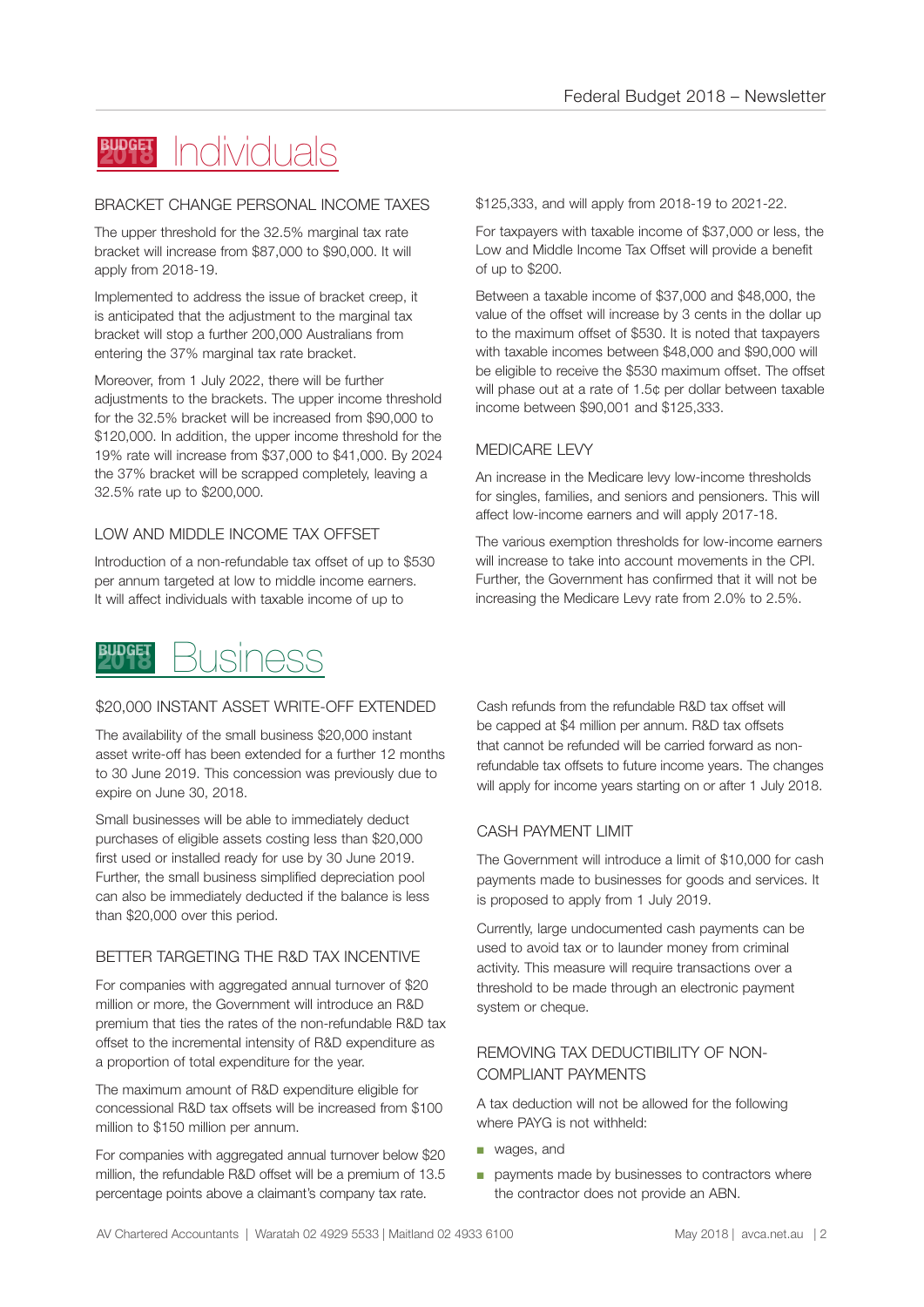# Individuals **BUDGET**

#### BRACKET CHANGE PERSONAL INCOME TAXES

The upper threshold for the 32.5% marginal tax rate bracket will increase from \$87,000 to \$90,000. It will apply from 2018-19.

Implemented to address the issue of bracket creep, it is anticipated that the adjustment to the marginal tax bracket will stop a further 200,000 Australians from entering the 37% marginal tax rate bracket.

Moreover, from 1 July 2022, there will be further adjustments to the brackets. The upper income threshold for the 32.5% bracket will be increased from \$90,000 to \$120,000. In addition, the upper income threshold for the 19% rate will increase from \$37,000 to \$41,000. By 2024 the 37% bracket will be scrapped completely, leaving a 32.5% rate up to \$200,000.

# LOW AND MIDDLE INCOME TAX OFFSET

Introduction of a non-refundable tax offset of up to \$530 per annum targeted at low to middle income earners. It will affect individuals with taxable income of up to



# \$20,000 INSTANT ASSET WRITE-OFF EXTENDED

The availability of the small business \$20,000 instant asset write-off has been extended for a further 12 months to 30 June 2019. This concession was previously due to expire on June 30, 2018.

Small businesses will be able to immediately deduct purchases of eligible assets costing less than \$20,000 first used or installed ready for use by 30 June 2019. Further, the small business simplified depreciation pool can also be immediately deducted if the balance is less than \$20,000 over this period.

# BETTER TARGETING THE R&D TAX INCENTIVE

For companies with aggregated annual turnover of \$20 million or more, the Government will introduce an R&D premium that ties the rates of the non-refundable R&D tax offset to the incremental intensity of R&D expenditure as a proportion of total expenditure for the year.

The maximum amount of R&D expenditure eligible for concessional R&D tax offsets will be increased from \$100 million to \$150 million per annum.

For companies with aggregated annual turnover below \$20 million, the refundable R&D offset will be a premium of 13.5 percentage points above a claimant's company tax rate.

\$125,333, and will apply from 2018-19 to 2021-22.

For taxpayers with taxable income of \$37,000 or less, the Low and Middle Income Tax Offset will provide a benefit of up to \$200.

Between a taxable income of \$37,000 and \$48,000, the value of the offset will increase by 3 cents in the dollar up to the maximum offset of \$530. It is noted that taxpayers with taxable incomes between \$48,000 and \$90,000 will be eligible to receive the \$530 maximum offset. The offset will phase out at a rate of 1.5¢ per dollar between taxable income between \$90,001 and \$125,333.

# MEDICARE LEVY

An increase in the Medicare levy low-income thresholds for singles, families, and seniors and pensioners. This will affect low-income earners and will apply 2017-18.

The various exemption thresholds for low-income earners will increase to take into account movements in the CPI. Further, the Government has confirmed that it will not be increasing the Medicare Levy rate from 2.0% to 2.5%.

Cash refunds from the refundable R&D tax offset will be capped at \$4 million per annum. R&D tax offsets that cannot be refunded will be carried forward as nonrefundable tax offsets to future income years. The changes will apply for income years starting on or after 1 July 2018.

# CASH PAYMENT LIMIT

The Government will introduce a limit of \$10,000 for cash payments made to businesses for goods and services. It is proposed to apply from 1 July 2019.

Currently, large undocumented cash payments can be used to avoid tax or to launder money from criminal activity. This measure will require transactions over a threshold to be made through an electronic payment system or cheque.

# REMOVING TAX DEDUCTIBILITY OF NON-COMPLIANT PAYMENTS

A tax deduction will not be allowed for the following where PAYG is not withheld:

- wages, and
- payments made by businesses to contractors where the contractor does not provide an ABN.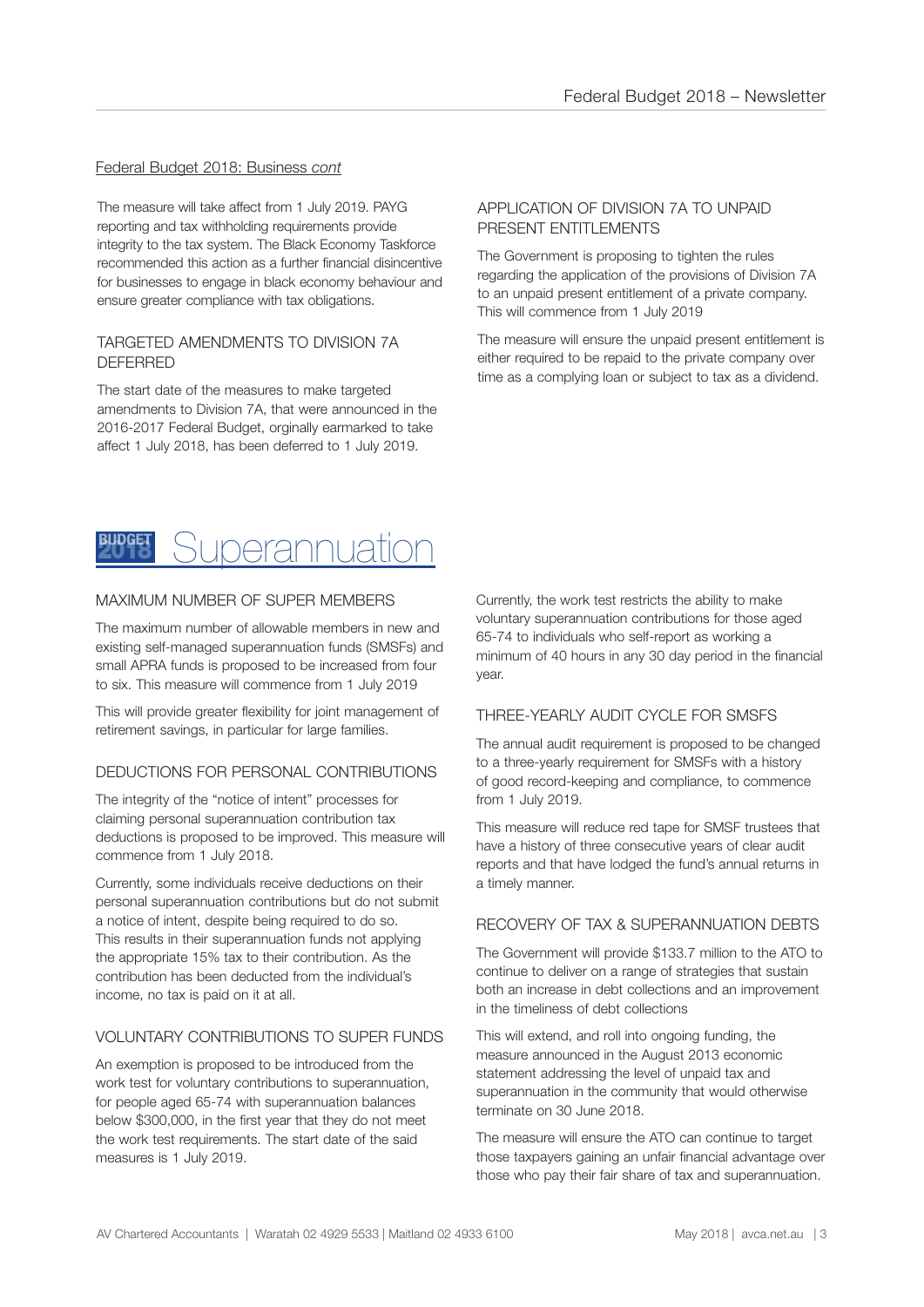#### Federal Budget 2018: Business *cont*

The measure will take affect from 1 July 2019. PAYG reporting and tax withholding requirements provide integrity to the tax system. The Black Economy Taskforce recommended this action as a further financial disincentive for businesses to engage in black economy behaviour and ensure greater compliance with tax obligations.

#### TARGETED AMENDMENTS TO DIVISION 7A DEFERRED

The start date of the measures to make targeted amendments to Division 7A, that were announced in the 2016-2017 Federal Budget, orginally earmarked to take affect 1 July 2018, has been deferred to 1 July 2019.

#### APPLICATION OF DIVISION 7A TO UNPAID PRESENT ENTITLEMENTS

The Government is proposing to tighten the rules regarding the application of the provisions of Division 7A to an unpaid present entitlement of a private company. This will commence from 1 July 2019

The measure will ensure the unpaid present entitlement is either required to be repaid to the private company over time as a complying loan or subject to tax as a dividend.



#### MAXIMUM NUMBER OF SUPER MEMBERS

The maximum number of allowable members in new and existing self-managed superannuation funds (SMSFs) and small APRA funds is proposed to be increased from four to six. This measure will commence from 1 July 2019

This will provide greater flexibility for joint management of retirement savings, in particular for large families.

#### DEDUCTIONS FOR PERSONAL CONTRIBUTIONS

The integrity of the "notice of intent" processes for claiming personal superannuation contribution tax deductions is proposed to be improved. This measure will commence from 1 July 2018.

Currently, some individuals receive deductions on their personal superannuation contributions but do not submit a notice of intent, despite being required to do so. This results in their superannuation funds not applying the appropriate 15% tax to their contribution. As the contribution has been deducted from the individual's income, no tax is paid on it at all.

#### VOLUNTARY CONTRIBUTIONS TO SUPER FUNDS

An exemption is proposed to be introduced from the work test for voluntary contributions to superannuation, for people aged 65-74 with superannuation balances below \$300,000, in the first year that they do not meet the work test requirements. The start date of the said measures is 1 July 2019.

Currently, the work test restricts the ability to make voluntary superannuation contributions for those aged 65-74 to individuals who self-report as working a minimum of 40 hours in any 30 day period in the financial year.

#### THREE-YEARLY AUDIT CYCLE FOR SMSFS

The annual audit requirement is proposed to be changed to a three-yearly requirement for SMSFs with a history of good record-keeping and compliance, to commence from 1 July 2019.

This measure will reduce red tape for SMSF trustees that have a history of three consecutive years of clear audit reports and that have lodged the fund's annual returns in a timely manner.

#### RECOVERY OF TAX & SUPERANNUATION DEBTS

The Government will provide \$133.7 million to the ATO to continue to deliver on a range of strategies that sustain both an increase in debt collections and an improvement in the timeliness of debt collections

This will extend, and roll into ongoing funding, the measure announced in the August 2013 economic statement addressing the level of unpaid tax and superannuation in the community that would otherwise terminate on 30 June 2018.

The measure will ensure the ATO can continue to target those taxpayers gaining an unfair financial advantage over those who pay their fair share of tax and superannuation.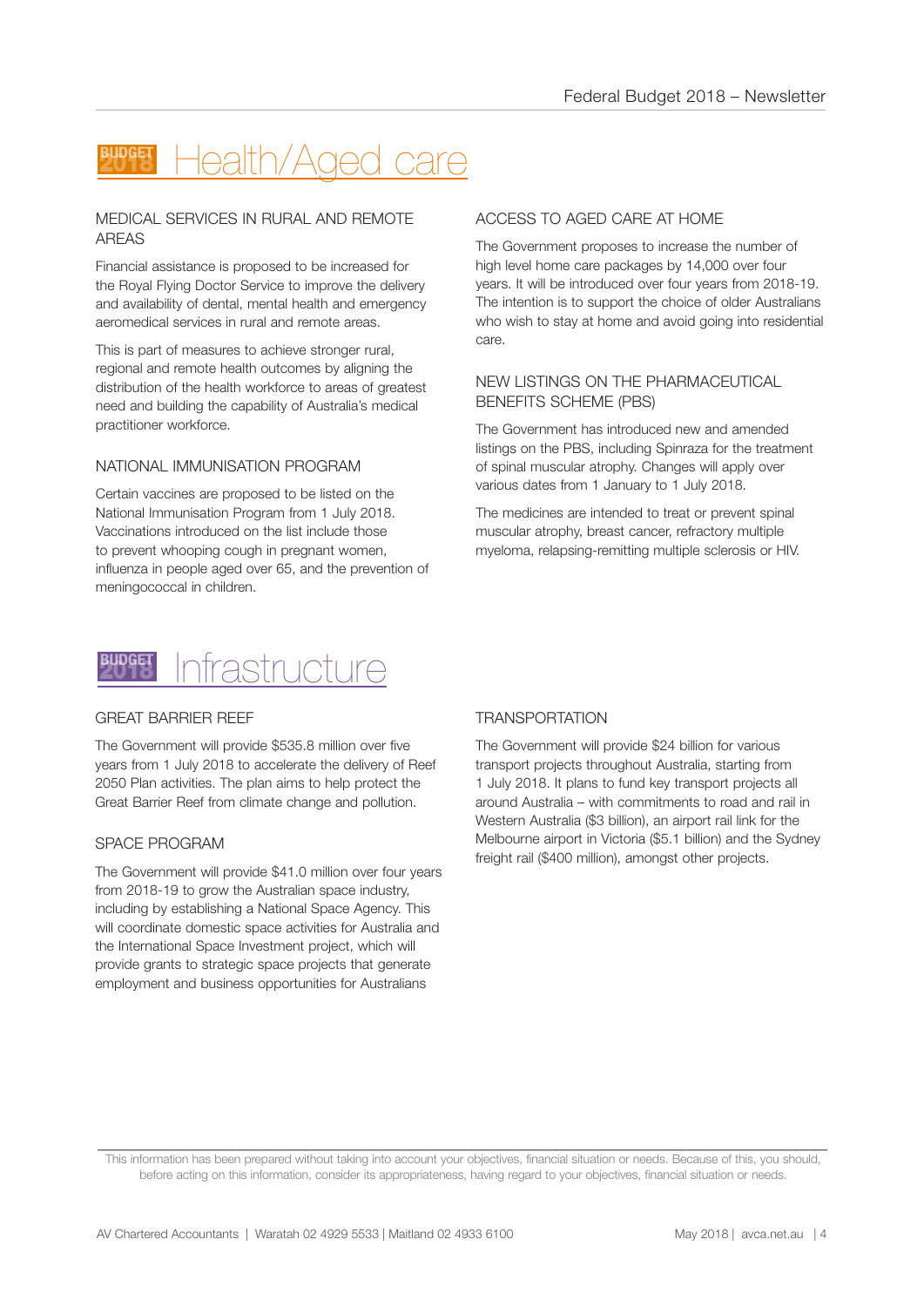# Health/Aged care

#### MEDICAL SERVICES IN RURAL AND REMOTE AREAS

Financial assistance is proposed to be increased for the Royal Flying Doctor Service to improve the delivery and availability of dental, mental health and emergency aeromedical services in rural and remote areas.

This is part of measures to achieve stronger rural, regional and remote health outcomes by aligning the distribution of the health workforce to areas of greatest need and building the capability of Australia's medical practitioner workforce.

# NATIONAL IMMUNISATION PROGRAM

Certain vaccines are proposed to be listed on the National Immunisation Program from 1 July 2018. Vaccinations introduced on the list include those to prevent whooping cough in pregnant women, influenza in people aged over 65, and the prevention of meningococcal in children.

# ACCESS TO AGED CARE AT HOME

The Government proposes to increase the number of high level home care packages by 14,000 over four years. It will be introduced over four years from 2018-19. The intention is to support the choice of older Australians who wish to stay at home and avoid going into residential care.

#### NEW LISTINGS ON THE PHARMACEUTICAL BENEFITS SCHEME (PBS)

The Government has introduced new and amended listings on the PBS, including Spinraza for the treatment of spinal muscular atrophy. Changes will apply over various dates from 1 January to 1 July 2018.

The medicines are intended to treat or prevent spinal muscular atrophy, breast cancer, refractory multiple myeloma, relapsing-remitting multiple sclerosis or HIV.



#### GREAT BARRIER REEF

The Government will provide \$535.8 million over five years from 1 July 2018 to accelerate the delivery of Reef 2050 Plan activities. The plan aims to help protect the Great Barrier Reef from climate change and pollution.

#### SPACE PROGRAM

The Government will provide \$41.0 million over four years from 2018-19 to grow the Australian space industry, including by establishing a National Space Agency. This will coordinate domestic space activities for Australia and the International Space Investment project, which will provide grants to strategic space projects that generate employment and business opportunities for Australians

# **TRANSPORTATION**

The Government will provide \$24 billion for various transport projects throughout Australia, starting from 1 July 2018. It plans to fund key transport projects all around Australia – with commitments to road and rail in Western Australia (\$3 billion), an airport rail link for the Melbourne airport in Victoria (\$5.1 billion) and the Sydney freight rail (\$400 million), amongst other projects.

This information has been prepared without taking into account your objectives, financial situation or needs. Because of this, you should, before acting on this information, consider its appropriateness, having regard to your objectives, financial situation or needs.